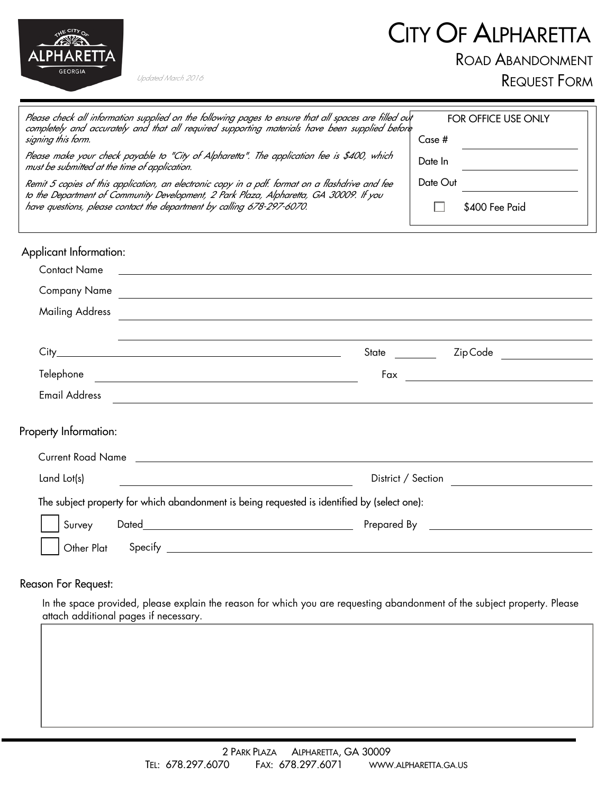## CITY OF ALPHARETTA



Updated March 2016

ROAD ABANDONMENT

REQUEST FORM

| Please check all information supplied on the following pages to ensure that all spaces are filled out<br>completely and accurately and that all required supporting materials have been supplied before<br>signing this form. | FOR OFFICE USE ONLY<br>Case #                                    |
|-------------------------------------------------------------------------------------------------------------------------------------------------------------------------------------------------------------------------------|------------------------------------------------------------------|
| Please make your check payable to "City of Alpharetta". The application fee is \$400, which<br>must be submitted at the time of application.                                                                                  | Date In<br><u> 1989 - Johann Barbara, martxa alemaniar a</u>     |
| Remit 5 copies of this application, an electronic copy in a pdf. format on a flashdrive and fee                                                                                                                               | Date Out                                                         |
| to the Department of Community Development, 2 Park Plaza, Alpharetta, GA 30009. If you<br>have questions, please contact the department by calling 678-297-6070.                                                              | \$400 Fee Paid                                                   |
| Applicant Information:                                                                                                                                                                                                        |                                                                  |
| <b>Contact Name</b><br><u> 1989 - Johann Barbara, martxa alemaniar arg</u>                                                                                                                                                    |                                                                  |
| <b>Company Name</b><br><u> 1989 - Johann Stoff, deutscher Stoff, der Stoff, der Stoff, der Stoff, der Stoff, der Stoff, der Stoff, der S</u>                                                                                  |                                                                  |
| <b>Mailing Address</b>                                                                                                                                                                                                        | <u> 1989 - Johann Stoff, amerikansk politiker (d. 1989)</u>      |
|                                                                                                                                                                                                                               |                                                                  |
| City<br><u> 1989 - Johann Barn, mars eta bat erroman erroman erroman erroman erroman erroman erroman erroman erroman err</u>                                                                                                  | _________  ZipCode _________________<br>State                    |
| Telephone<br><u> 1989 - Johann Barn, mars et al. 1989 - Anna ann an t-Anna ann an t-Anna ann an t-Anna ann an t-Anna ann an t-</u>                                                                                            | <u> 1980 - Johann Barn, mars eta bainar eta idazlea (</u><br>Fax |
| <b>Email Address</b><br><u> 1989 - John Stein, Amerikaansk politiker (* 1958)</u>                                                                                                                                             |                                                                  |
| Property Information:                                                                                                                                                                                                         |                                                                  |
|                                                                                                                                                                                                                               |                                                                  |
| Land Lot(s)                                                                                                                                                                                                                   | District / Section                                               |
| The subject property for which abandonment is being requested is identified by (select one):                                                                                                                                  |                                                                  |
| Survey                                                                                                                                                                                                                        | Prepared By <u>________________________</u>                      |
|                                                                                                                                                                                                                               |                                                                  |

## Reason For Request:

In the space provided, please explain the reason for which you are requesting abandonment of the subject property. Please attach additional pages if necessary.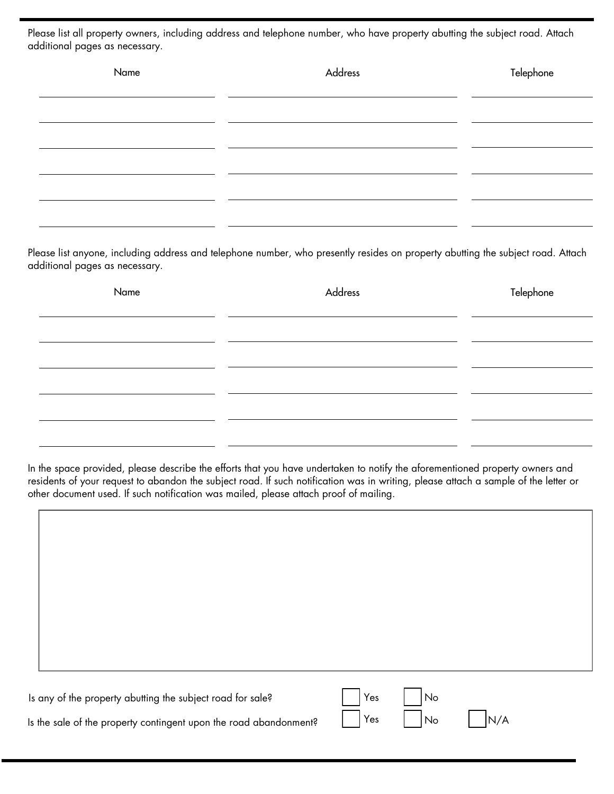Please list all property owners, including address and telephone number, who have property abutting the subject road. Attach additional pages as necessary.

| Name | Address | Telephone |
|------|---------|-----------|
|      |         |           |
|      |         |           |
|      |         |           |
|      |         |           |
|      |         |           |

Please list anyone, including address and telephone number, who presently resides on property abutting the subject road. Attach additional pages as necessary.

| Name | Address | Telephone |
|------|---------|-----------|
|      |         |           |
|      |         |           |
|      |         |           |
|      |         |           |
|      |         |           |

In the space provided, please describe the efforts that you have undertaken to notify the aforementioned property owners and residents of your request to abandon the subject road. If such notification was in writing, please attach a sample of the letter or other document used. If such notification was mailed, please attach proof of mailing.

| Is any of the property abutting the subject road for sale?<br>Is the sale of the property contingent upon the road abandonment? | Yes<br>Yes | No<br>No | N/A |  |
|---------------------------------------------------------------------------------------------------------------------------------|------------|----------|-----|--|